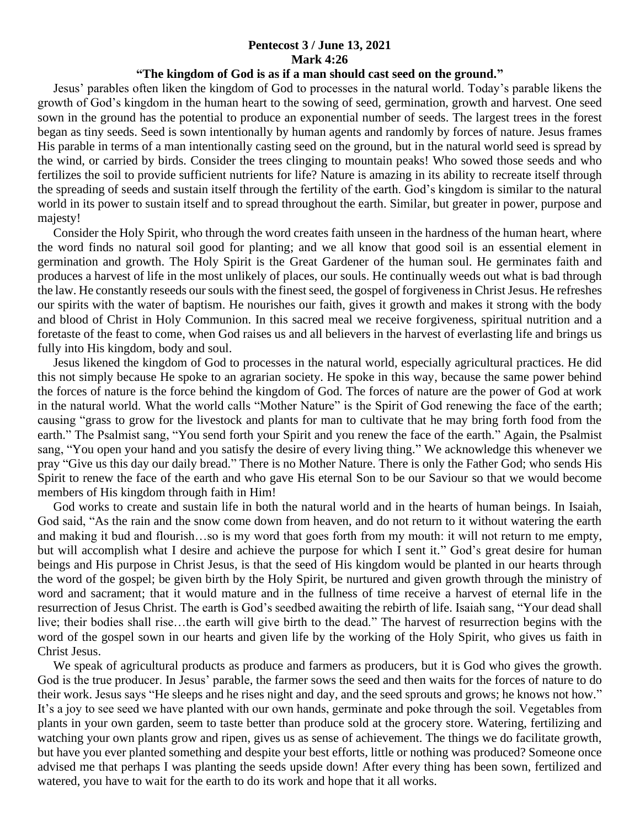## **Pentecost 3 / June 13, 2021 Mark 4:26**

## **"The kingdom of God is as if a man should cast seed on the ground."**

 Jesus' parables often liken the kingdom of God to processes in the natural world. Today's parable likens the growth of God's kingdom in the human heart to the sowing of seed, germination, growth and harvest. One seed sown in the ground has the potential to produce an exponential number of seeds. The largest trees in the forest began as tiny seeds. Seed is sown intentionally by human agents and randomly by forces of nature. Jesus frames His parable in terms of a man intentionally casting seed on the ground, but in the natural world seed is spread by the wind, or carried by birds. Consider the trees clinging to mountain peaks! Who sowed those seeds and who fertilizes the soil to provide sufficient nutrients for life? Nature is amazing in its ability to recreate itself through the spreading of seeds and sustain itself through the fertility of the earth. God's kingdom is similar to the natural world in its power to sustain itself and to spread throughout the earth. Similar, but greater in power, purpose and majesty!

 Consider the Holy Spirit, who through the word creates faith unseen in the hardness of the human heart, where the word finds no natural soil good for planting; and we all know that good soil is an essential element in germination and growth. The Holy Spirit is the Great Gardener of the human soul. He germinates faith and produces a harvest of life in the most unlikely of places, our souls. He continually weeds out what is bad through the law. He constantly reseeds our souls with the finest seed, the gospel of forgiveness in Christ Jesus. He refreshes our spirits with the water of baptism. He nourishes our faith, gives it growth and makes it strong with the body and blood of Christ in Holy Communion. In this sacred meal we receive forgiveness, spiritual nutrition and a foretaste of the feast to come, when God raises us and all believers in the harvest of everlasting life and brings us fully into His kingdom, body and soul.

 Jesus likened the kingdom of God to processes in the natural world, especially agricultural practices. He did this not simply because He spoke to an agrarian society. He spoke in this way, because the same power behind the forces of nature is the force behind the kingdom of God. The forces of nature are the power of God at work in the natural world. What the world calls "Mother Nature" is the Spirit of God renewing the face of the earth; causing "grass to grow for the livestock and plants for man to cultivate that he may bring forth food from the earth." The Psalmist sang, "You send forth your Spirit and you renew the face of the earth." Again, the Psalmist sang, "You open your hand and you satisfy the desire of every living thing." We acknowledge this whenever we pray "Give us this day our daily bread." There is no Mother Nature. There is only the Father God; who sends His Spirit to renew the face of the earth and who gave His eternal Son to be our Saviour so that we would become members of His kingdom through faith in Him!

 God works to create and sustain life in both the natural world and in the hearts of human beings. In Isaiah, God said, "As the rain and the snow come down from heaven, and do not return to it without watering the earth and making it bud and flourish…so is my word that goes forth from my mouth: it will not return to me empty, but will accomplish what I desire and achieve the purpose for which I sent it." God's great desire for human beings and His purpose in Christ Jesus, is that the seed of His kingdom would be planted in our hearts through the word of the gospel; be given birth by the Holy Spirit, be nurtured and given growth through the ministry of word and sacrament; that it would mature and in the fullness of time receive a harvest of eternal life in the resurrection of Jesus Christ. The earth is God's seedbed awaiting the rebirth of life. Isaiah sang, "Your dead shall live; their bodies shall rise…the earth will give birth to the dead." The harvest of resurrection begins with the word of the gospel sown in our hearts and given life by the working of the Holy Spirit, who gives us faith in Christ Jesus.

We speak of agricultural products as produce and farmers as producers, but it is God who gives the growth. God is the true producer. In Jesus' parable, the farmer sows the seed and then waits for the forces of nature to do their work. Jesus says "He sleeps and he rises night and day, and the seed sprouts and grows; he knows not how." It's a joy to see seed we have planted with our own hands, germinate and poke through the soil. Vegetables from plants in your own garden, seem to taste better than produce sold at the grocery store. Watering, fertilizing and watching your own plants grow and ripen, gives us as sense of achievement. The things we do facilitate growth, but have you ever planted something and despite your best efforts, little or nothing was produced? Someone once advised me that perhaps I was planting the seeds upside down! After every thing has been sown, fertilized and watered, you have to wait for the earth to do its work and hope that it all works.